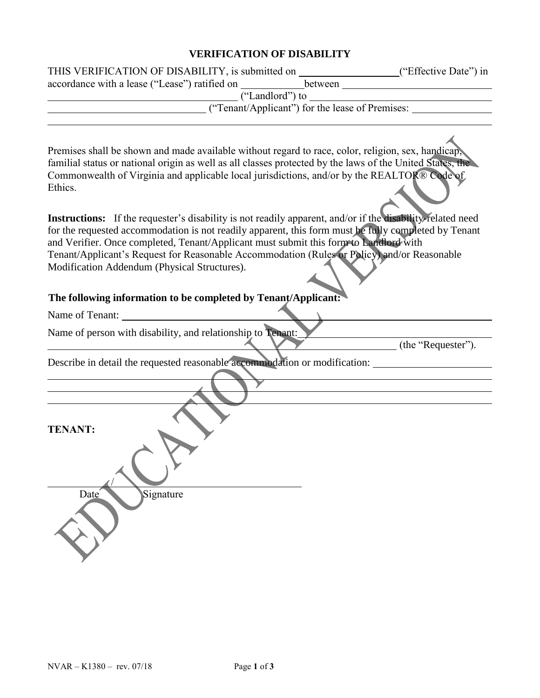## **VERIFICATION OF DISABILITY**

| THIS VERIFICATION OF DISABILITY, is submitted on ____________________("Effective Date") in                                                                                                                                                                                                                                                                                                                                                                 |
|------------------------------------------------------------------------------------------------------------------------------------------------------------------------------------------------------------------------------------------------------------------------------------------------------------------------------------------------------------------------------------------------------------------------------------------------------------|
|                                                                                                                                                                                                                                                                                                                                                                                                                                                            |
|                                                                                                                                                                                                                                                                                                                                                                                                                                                            |
|                                                                                                                                                                                                                                                                                                                                                                                                                                                            |
| Premises shall be shown and made available without regard to race, color, religion, sex, handicap,<br>familial status or national origin as well as all classes protected by the laws of the United States, the<br>Commonwealth of Virginia and applicable local jurisdictions, and/or by the REALTOR® Code of<br>Ethics.                                                                                                                                  |
| Instructions: If the requester's disability is not readily apparent, and/or if the disability-related need<br>for the requested accommodation is not readily apparent, this form must be fully completed by Tenant<br>and Verifier. Once completed, Tenant/Applicant must submit this form to Landlord with<br>Tenant/Applicant's Request for Reasonable Accommodation (Rules or Policy) and/or Reasonable<br>Modification Addendum (Physical Structures). |
| The following information to be completed by Tenant/Applicant:                                                                                                                                                                                                                                                                                                                                                                                             |
|                                                                                                                                                                                                                                                                                                                                                                                                                                                            |
| Name of person with disability, and relationship to Tenant:<br>(the "Requester").                                                                                                                                                                                                                                                                                                                                                                          |
| Describe in detail the requested reasonable accommodation or modification: ________________________                                                                                                                                                                                                                                                                                                                                                        |
|                                                                                                                                                                                                                                                                                                                                                                                                                                                            |
| <b>TENANT:</b>                                                                                                                                                                                                                                                                                                                                                                                                                                             |
| Signature<br>Date                                                                                                                                                                                                                                                                                                                                                                                                                                          |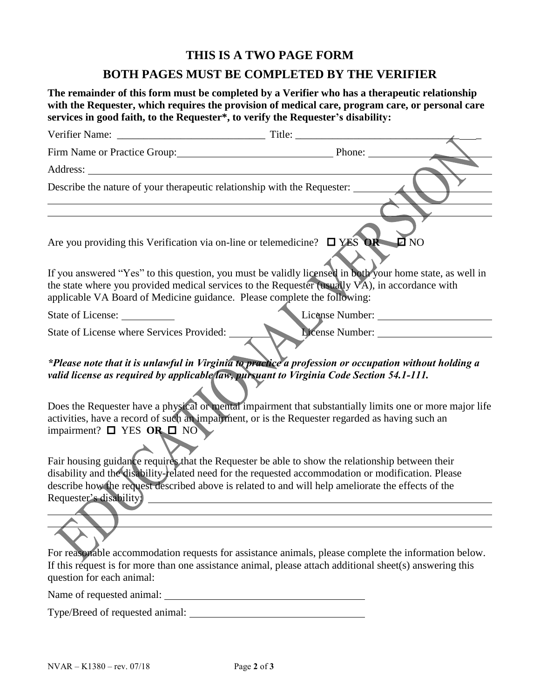## **THIS IS A TWO PAGE FORM**

## **BOTH PAGES MUST BE COMPLETED BY THE VERIFIER**

**The remainder of this form must be completed by a Verifier who has a therapeutic relationship**  with the Requester, which requires the provision of medical care, program care, or personal care **services in good faith, to the Requester\*, to verify the Requester's disability:**

| Firm Name or Practice Group: Phone: Phone:                                                                                                                                                                                               |                                                                                                                                                                                                                                                                                                                                                                                                                                                                                                                                  |
|------------------------------------------------------------------------------------------------------------------------------------------------------------------------------------------------------------------------------------------|----------------------------------------------------------------------------------------------------------------------------------------------------------------------------------------------------------------------------------------------------------------------------------------------------------------------------------------------------------------------------------------------------------------------------------------------------------------------------------------------------------------------------------|
|                                                                                                                                                                                                                                          |                                                                                                                                                                                                                                                                                                                                                                                                                                                                                                                                  |
| Describe the nature of your therapeutic relationship with the Requester:                                                                                                                                                                 |                                                                                                                                                                                                                                                                                                                                                                                                                                                                                                                                  |
| <u> 1980 - Johann Barn, mars ann an t-Amhain Aonaichte ann an t-Amhain Aonaichte ann an t-Amhain Aonaichte ann an</u>                                                                                                                    |                                                                                                                                                                                                                                                                                                                                                                                                                                                                                                                                  |
| Are you providing this Verification via on-line or telemedicine? $\Box$ YES OR D NO                                                                                                                                                      |                                                                                                                                                                                                                                                                                                                                                                                                                                                                                                                                  |
| applicable VA Board of Medicine guidance. Please complete the following:                                                                                                                                                                 | If you answered "Yes" to this question, you must be validly licensed in both your home state, as well in<br>the state where you provided medical services to the Requester (usually VA), in accordance with                                                                                                                                                                                                                                                                                                                      |
| State of License:                                                                                                                                                                                                                        |                                                                                                                                                                                                                                                                                                                                                                                                                                                                                                                                  |
| State of License where Services Provided:                                                                                                                                                                                                | License Number:                                                                                                                                                                                                                                                                                                                                                                                                                                                                                                                  |
| valid license as required by applicable law, pursuant to Virginia Code Section 54.1-111.<br>activities, have a record of such an impairment, or is the Requester regarded as having such an<br>impairment? $\square$ YES OR $\square$ NO | *Please note that it is unlawful in Virginia to practice a profession or occupation without holding a<br>Does the Requester have a physical or mental impairment that substantially limits one or more major life                                                                                                                                                                                                                                                                                                                |
| Requester's disability.                                                                                                                                                                                                                  | Fair housing guidance requires that the Requester be able to show the relationship between their<br>disability and the disability-related need for the requested accommodation or modification. Please<br>describe how the request described above is related to and will help ameliorate the effects of the<br>For reasonable accommodation requests for assistance animals, please complete the information below.<br>If this request is for more than one assistance animal, please attach additional sheet(s) answering this |
| question for each animal:                                                                                                                                                                                                                |                                                                                                                                                                                                                                                                                                                                                                                                                                                                                                                                  |
| Name of requested animal:                                                                                                                                                                                                                |                                                                                                                                                                                                                                                                                                                                                                                                                                                                                                                                  |

Type/Breed of requested animal: